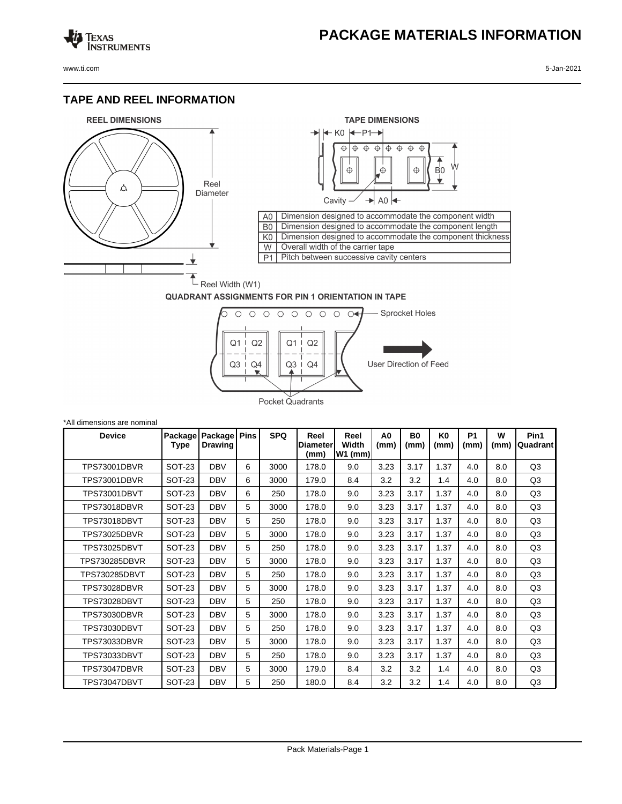## **PACKAGE MATERIALS INFORMATION**

Texas<br>Instruments

## **TAPE AND REEL INFORMATION**





## **QUADRANT ASSIGNMENTS FOR PIN 1 ORIENTATION IN TAPE**



| *All dimensions are nominal |                 |                           |      |            |                                 |                            |                        |                   |                        |                   |           |                  |
|-----------------------------|-----------------|---------------------------|------|------------|---------------------------------|----------------------------|------------------------|-------------------|------------------------|-------------------|-----------|------------------|
| <b>Device</b>               | Package<br>Type | Package<br><b>Drawing</b> | Pins | <b>SPQ</b> | Reel<br><b>Diameter</b><br>(mm) | Reel<br>Width<br>$W1$ (mm) | A <sub>0</sub><br>(mm) | <b>B0</b><br>(mm) | K <sub>0</sub><br>(mm) | <b>P1</b><br>(mm) | W<br>(mm) | Pin1<br>Quadrant |
| <b>TPS73001DBVR</b>         | <b>SOT-23</b>   | <b>DBV</b>                | 6    | 3000       | 178.0                           | 9.0                        | 3.23                   | 3.17              | 1.37                   | 4.0               | 8.0       | Q <sub>3</sub>   |
| <b>TPS73001DBVR</b>         | <b>SOT-23</b>   | <b>DBV</b>                | 6    | 3000       | 179.0                           | 8.4                        | 3.2                    | 3.2               | 1.4                    | 4.0               | 8.0       | Q <sub>3</sub>   |
| <b>TPS73001DBVT</b>         | SOT-23          | <b>DBV</b>                | 6    | 250        | 178.0                           | 9.0                        | 3.23                   | 3.17              | 1.37                   | 4.0               | 8.0       | Q3               |
| TPS73018DBVR                | <b>SOT-23</b>   | <b>DBV</b>                | 5    | 3000       | 178.0                           | 9.0                        | 3.23                   | 3.17              | 1.37                   | 4.0               | 8.0       | Q <sub>3</sub>   |
| <b>TPS73018DBVT</b>         | <b>SOT-23</b>   | <b>DBV</b>                | 5    | 250        | 178.0                           | 9.0                        | 3.23                   | 3.17              | 1.37                   | 4.0               | 8.0       | Q <sub>3</sub>   |
| <b>TPS73025DBVR</b>         | <b>SOT-23</b>   | <b>DBV</b>                | 5    | 3000       | 178.0                           | 9.0                        | 3.23                   | 3.17              | 1.37                   | 4.0               | 8.0       | Q <sub>3</sub>   |
| <b>TPS73025DBVT</b>         | <b>SOT-23</b>   | <b>DBV</b>                | 5    | 250        | 178.0                           | 9.0                        | 3.23                   | 3.17              | 1.37                   | 4.0               | 8.0       | Q <sub>3</sub>   |
| <b>TPS730285DBVR</b>        | <b>SOT-23</b>   | <b>DBV</b>                | 5    | 3000       | 178.0                           | 9.0                        | 3.23                   | 3.17              | 1.37                   | 4.0               | 8.0       | Q <sub>3</sub>   |
| TPS730285DBVT               | <b>SOT-23</b>   | <b>DBV</b>                | 5    | 250        | 178.0                           | 9.0                        | 3.23                   | 3.17              | 1.37                   | 4.0               | 8.0       | Q <sub>3</sub>   |
| <b>TPS73028DBVR</b>         | <b>SOT-23</b>   | <b>DBV</b>                | 5    | 3000       | 178.0                           | 9.0                        | 3.23                   | 3.17              | 1.37                   | 4.0               | 8.0       | Q <sub>3</sub>   |
| <b>TPS73028DBVT</b>         | <b>SOT-23</b>   | <b>DBV</b>                | 5    | 250        | 178.0                           | 9.0                        | 3.23                   | 3.17              | 1.37                   | 4.0               | 8.0       | Q <sub>3</sub>   |
| <b>TPS73030DBVR</b>         | <b>SOT-23</b>   | <b>DBV</b>                | 5    | 3000       | 178.0                           | 9.0                        | 3.23                   | 3.17              | 1.37                   | 4.0               | 8.0       | Q <sub>3</sub>   |
| <b>TPS73030DBVT</b>         | <b>SOT-23</b>   | <b>DBV</b>                | 5    | 250        | 178.0                           | 9.0                        | 3.23                   | 3.17              | 1.37                   | 4.0               | 8.0       | Q <sub>3</sub>   |
| TPS73033DBVR                | SOT-23          | <b>DBV</b>                | 5    | 3000       | 178.0                           | 9.0                        | 3.23                   | 3.17              | 1.37                   | 4.0               | 8.0       | Q <sub>3</sub>   |
| TPS73033DBVT                | <b>SOT-23</b>   | <b>DBV</b>                | 5    | 250        | 178.0                           | 9.0                        | 3.23                   | 3.17              | 1.37                   | 4.0               | 8.0       | Q <sub>3</sub>   |
| TPS73047DBVR                | <b>SOT-23</b>   | <b>DBV</b>                | 5    | 3000       | 179.0                           | 8.4                        | 3.2                    | 3.2               | 1.4                    | 4.0               | 8.0       | Q3               |
| TPS73047DBVT                | SOT-23          | <b>DBV</b>                | 5    | 250        | 180.0                           | 8.4                        | 3.2                    | 3.2               | 1.4                    | 4.0               | 8.0       | Q <sub>3</sub>   |